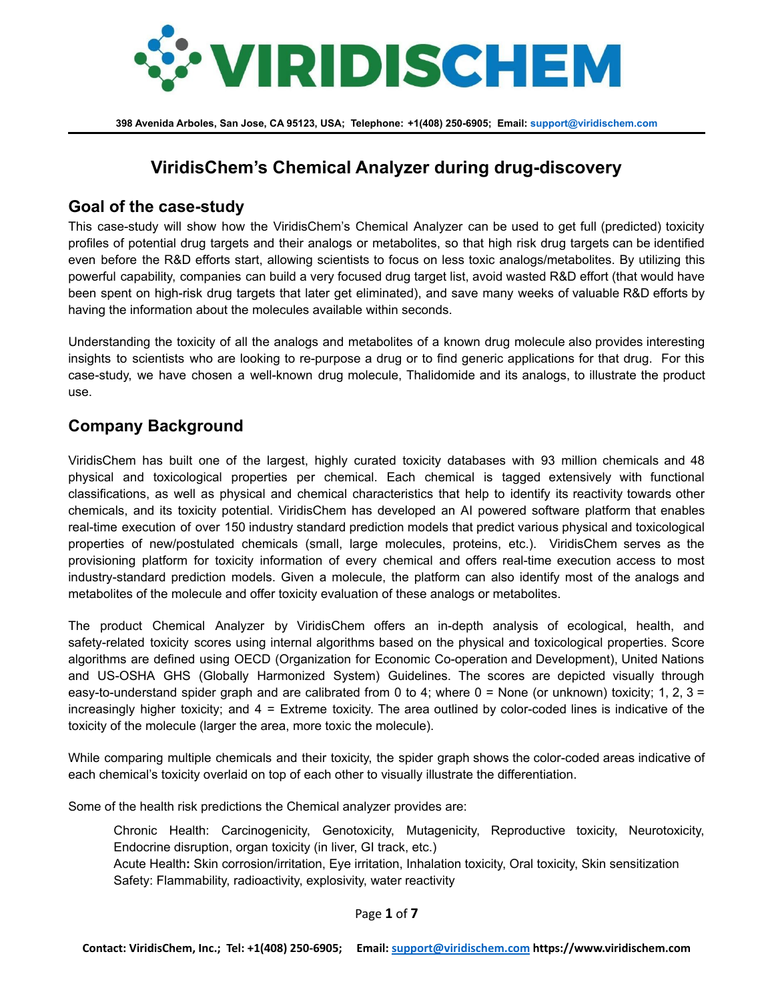

# **ViridisChem's Chemical Analyzer during drug-discovery**

### **Goal of the case-study**

This case-study will show how the ViridisChem's Chemical Analyzer can be used to get full (predicted) toxicity profiles of potential drug targets and their analogs or metabolites, so that high risk drug targets can be identified even before the R&D efforts start, allowing scientists to focus on less toxic analogs/metabolites. By utilizing this powerful capability, companies can build a very focused drug target list, avoid wasted R&D effort (that would have been spent on high-risk drug targets that later get eliminated), and save many weeks of valuable R&D efforts by having the information about the molecules available within seconds.

Understanding the toxicity of all the analogs and metabolites of a known drug molecule also provides interesting insights to scientists who are looking to re-purpose a drug or to find generic applications for that drug. For this case-study, we have chosen a well-known drug molecule, Thalidomide and its analogs, to illustrate the product use.

## **Company Background**

ViridisChem has built one of the largest, highly curated toxicity databases with 93 million chemicals and 48 physical and toxicological properties per chemical. Each chemical is tagged extensively with functional classifications, as well as physical and chemical characteristics that help to identify its reactivity towards other chemicals, and its toxicity potential. ViridisChem has developed an AI powered software platform that enables real-time execution of over 150 industry standard prediction models that predict various physical and toxicological properties of new/postulated chemicals (small, large molecules, proteins, etc.). ViridisChem serves as the provisioning platform for toxicity information of every chemical and offers real-time execution access to most industry-standard prediction models. Given a molecule, the platform can also identify most of the analogs and metabolites of the molecule and offer toxicity evaluation of these analogs or metabolites.

The product Chemical Analyzer by ViridisChem offers an in-depth analysis of ecological, health, and safety-related toxicity scores using internal algorithms based on the physical and toxicological properties. Score algorithms are defined using OECD (Organization for Economic Co-operation and Development), United Nations and US-OSHA GHS (Globally Harmonized System) Guidelines. The scores are depicted visually through easy-to-understand spider graph and are calibrated from 0 to 4; where  $0 =$  None (or unknown) toxicity; 1, 2, 3 = increasingly higher toxicity; and 4 = Extreme toxicity. The area outlined by color-coded lines is indicative of the toxicity of the molecule (larger the area, more toxic the molecule).

While comparing multiple chemicals and their toxicity, the spider graph shows the color-coded areas indicative of each chemical's toxicity overlaid on top of each other to visually illustrate the differentiation.

Some of the health risk predictions the Chemical analyzer provides are:

Chronic Health: Carcinogenicity, Genotoxicity, Mutagenicity, Reproductive toxicity, Neurotoxicity, Endocrine disruption, organ toxicity (in liver, GI track, etc.) Acute Health**:** Skin corrosion/irritation, Eye irritation, Inhalation toxicity, Oral toxicity, Skin sensitization Safety: Flammability, radioactivity, explosivity, water reactivity

Page **1** of **7**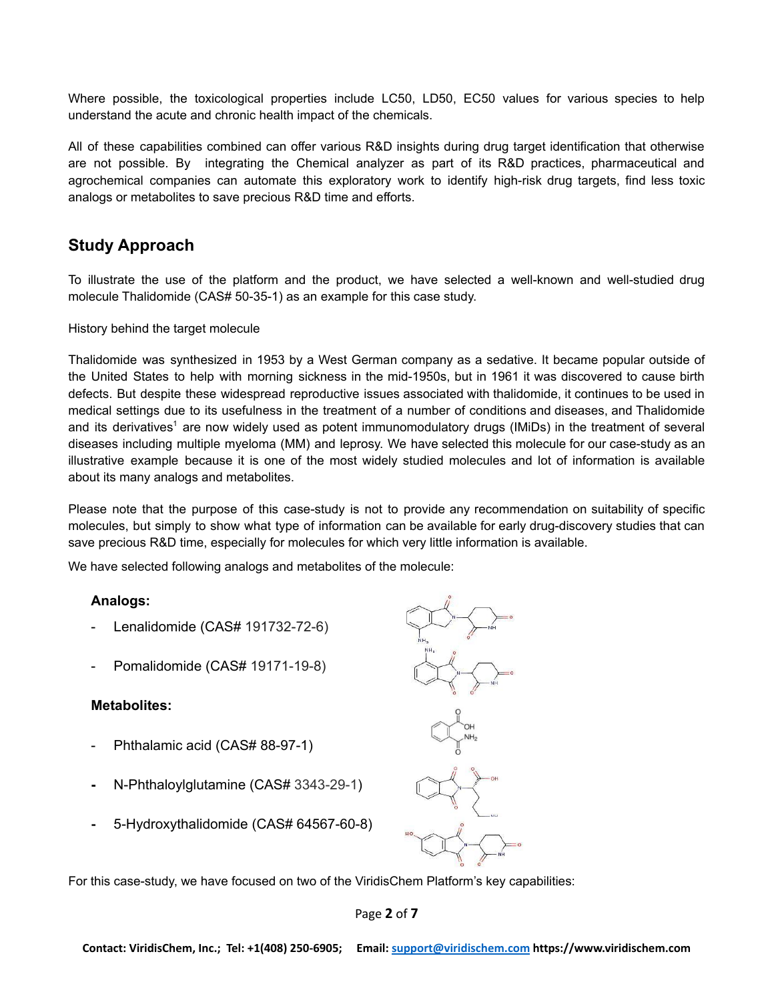Where possible, the toxicological properties include LC50, LD50, EC50 values for various species to help understand the acute and chronic health impact of the chemicals.

All of these capabilities combined can offer various R&D insights during drug target identification that otherwise are not possible. By integrating the Chemical analyzer as part of its R&D practices, pharmaceutical and agrochemical companies can automate this exploratory work to identify high-risk drug targets, find less toxic analogs or metabolites to save precious R&D time and efforts.

## **Study Approach**

To illustrate the use of the platform and the product, we have selected a well-known and well-studied drug molecule Thalidomide (CAS# 50-35-1) as an example for this case study.

#### History behind the target molecule

Thalidomide was synthesized in 1953 by a West German company as a sedative. It became popular outside of the United States to help with morning sickness in the mid-1950s, but in 1961 it was discovered to cause birth defects. But despite these widespread reproductive issues associated with thalidomide, it continues to be used in medical settings due to its usefulness in the treatment of a number of conditions and diseases, and Thalidomide and its derivatives<sup>1</sup> are now widely used as potent immunomodulatory drugs (IMiDs) in the treatment of several diseases including multiple myeloma (MM) and leprosy. We have selected this molecule for our case-study as an illustrative example because it is one of the most widely studied molecules and lot of information is available about its many analogs and metabolites.

Please note that the purpose of this case-study is not to provide any recommendation on suitability of specific molecules, but simply to show what type of information can be available for early drug-discovery studies that can save precious R&D time, especially for molecules for which very little information is available.

We have selected following analogs and metabolites of the molecule:

#### **Analogs:**

- Lenalidomide (CAS# 191732-72-6)
- Pomalidomide (CAS# 19171-19-8)

#### **Metabolites:**

- Phthalamic acid (CAS# 88-97-1)
- **-** N-Phthaloylglutamine (CAS# 3343-29-1)
- **-** 5-Hydroxythalidomide (CAS# 64567-60-8)

For this case-study, we have focused on two of the ViridisChem Platform's key capabilities:

Page **2** of **7**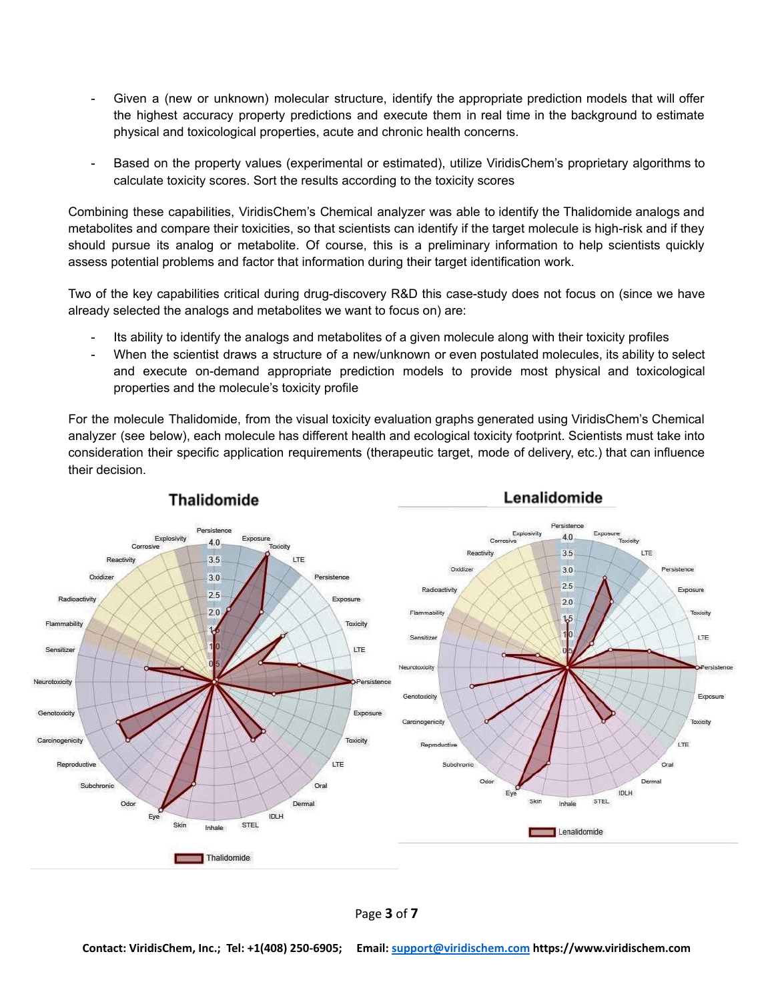- Given a (new or unknown) molecular structure, identify the appropriate prediction models that will offer the highest accuracy property predictions and execute them in real time in the background to estimate physical and toxicological properties, acute and chronic health concerns.
- Based on the property values (experimental or estimated), utilize ViridisChem's proprietary algorithms to calculate toxicity scores. Sort the results according to the toxicity scores

Combining these capabilities, ViridisChem's Chemical analyzer was able to identify the Thalidomide analogs and metabolites and compare their toxicities, so that scientists can identify if the target molecule is high-risk and if they should pursue its analog or metabolite. Of course, this is a preliminary information to help scientists quickly assess potential problems and factor that information during their target identification work.

Two of the key capabilities critical during drug-discovery R&D this case-study does not focus on (since we have already selected the analogs and metabolites we want to focus on) are:

- Its ability to identify the analogs and metabolites of a given molecule along with their toxicity profiles
- When the scientist draws a structure of a new/unknown or even postulated molecules, its ability to select and execute on-demand appropriate prediction models to provide most physical and toxicological properties and the molecule's toxicity profile

For the molecule Thalidomide, from the visual toxicity evaluation graphs generated using ViridisChem's Chemical analyzer (see below), each molecule has different health and ecological toxicity footprint. Scientists must take into consideration their specific application requirements (therapeutic target, mode of delivery, etc.) that can influence their decision.



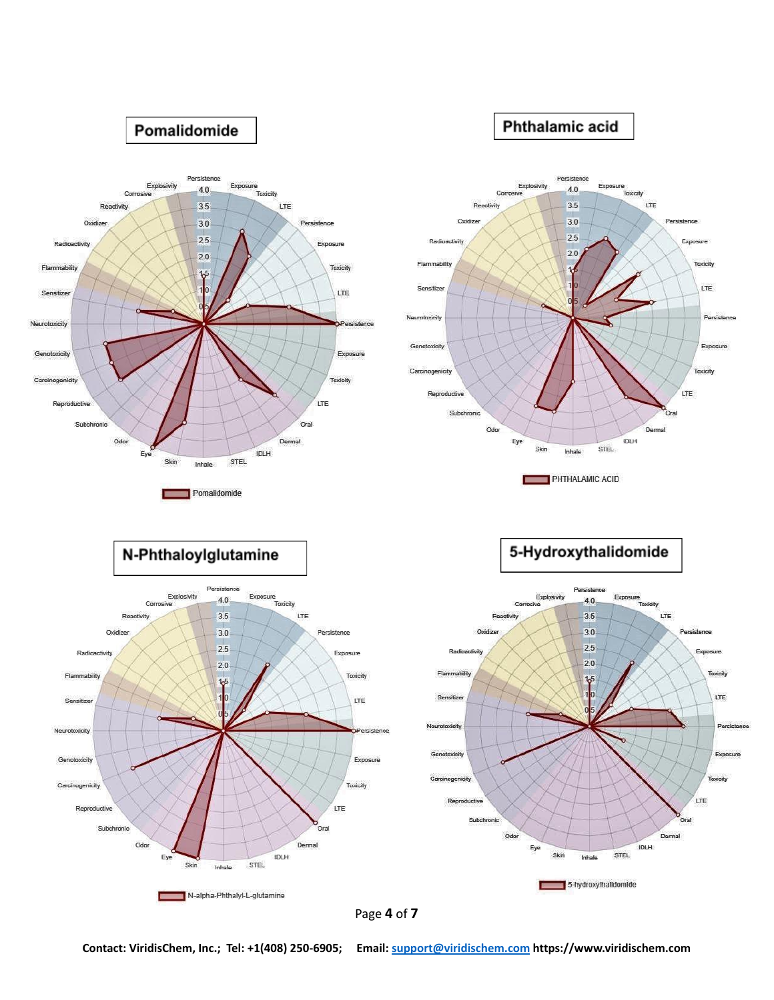



**Contact: ViridisChem, Inc.; Tel: +1(408) 250-6905; Email: [support@viridischem.com](mailto:support@viridischem.com) https://www.viridischem.com**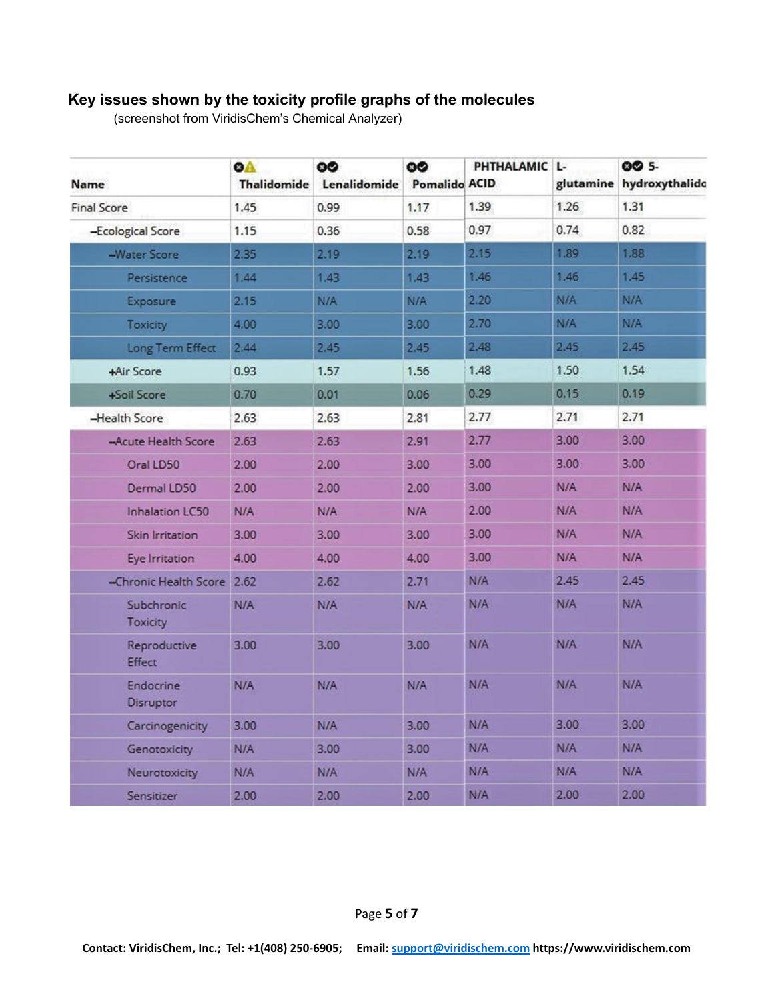# **Key issues shown by the toxicity profile graphs of the molecules**

(screenshot from ViridisChem's Chemical Analyzer)

| Name                          | <b>OA</b><br><b>Thalidomide</b> | 60<br>Lenalidomide | 60<br><b>Pomalido ACID</b> | PHTHALAMIC L- |      | 00 5-<br>glutamine hydroxythalidd |
|-------------------------------|---------------------------------|--------------------|----------------------------|---------------|------|-----------------------------------|
| <b>Final Score</b>            | 1.45                            | 0.99               | 1.17                       | 1.39          | 1.26 | 1.31                              |
| -Ecological Score             | 1.15                            | 0.36               | 0.58                       | 0.97          | 0.74 | 0.82                              |
| -Water Score                  | 2.35                            | 2.19               | 2.19                       | 2.15          | 1.89 | 1.88                              |
| Persistence                   | 1.44                            | 1.43               | 1.43                       | 1.46          | 1.46 | 1.45                              |
| Exposure                      | 2.15                            | N/A                | N/A                        | 2.20          | N/A  | N/A                               |
| <b>Toxicity</b>               | 4.00                            | 3.00               | 3.00                       | 2.70          | N/A  | <b>N/A</b>                        |
| Long Term Effect              | 2.44                            | 2,45               | 2,45                       | 2.48          | 2.45 | 2.45                              |
| +Air Score                    | 0.93                            | 1.57               | 1.56                       | 1.48          | 1.50 | 1.54                              |
| +Soil Score                   | 0.70                            | 0.01               | 0.06                       | 0.29          | 0.15 | 0.19                              |
| -Health Score                 | 2.63                            | 2.63               | 2.81                       | 2.77          | 2.71 | 2.71                              |
| -Acute Health Score           | 2.63                            | 2.63               | 2.91                       | 2.77          | 3.00 | 3.00                              |
| Oral LD50                     | 2.00                            | 2.00               | 3.00                       | 3.00          | 3.00 | 3.00                              |
| Dermal LD50                   | 2.00                            | 2.00               | 2.00                       | 3.00          | N/A  | N/A                               |
| <b>Inhalation LC50</b>        | N/A                             | N/A                | N/A                        | 2.00          | N/A  | N/A                               |
| Skin Irritation               | 3.00                            | 3.00               | 3.00                       | 3.00          | N/A  | N/A                               |
| Eye Irritation                | 4.00                            | 4.00               | 4.00                       | 3.00          | N/A  | N/A                               |
| -Chronic Health Score 2.62    |                                 | 2.62               | 2.71                       | N/A           | 2.45 | 2.45                              |
| Subchronic<br>Toxicity        | N/A                             | N/A                | N/A                        | N/A           | N/A  | N/A                               |
| Reproductive<br>Effect        | 3.00                            | 3.00               | 3.00                       | N/A           | N/A  | N/A                               |
| <b>Endocrine</b><br>Disruptor | N/A                             | N/A                | N/A                        | N/A           | N/A  | N/A                               |
| Carcinogenicity               | 3.00                            | N/A                | 3.00                       | N/A           | 3.00 | 3.00                              |
| Genotoxicity                  | N/A                             | 3.00               | 3.00                       | N/A           | N/A  | N/A                               |
| Neurotoxicity                 | N/A                             | N/A                | N/A                        | N/A           | N/A  | N/A                               |
| Sensitizer                    | 2.00                            | 2.00               | 2.00                       | N/A           | 2.00 | 2.00                              |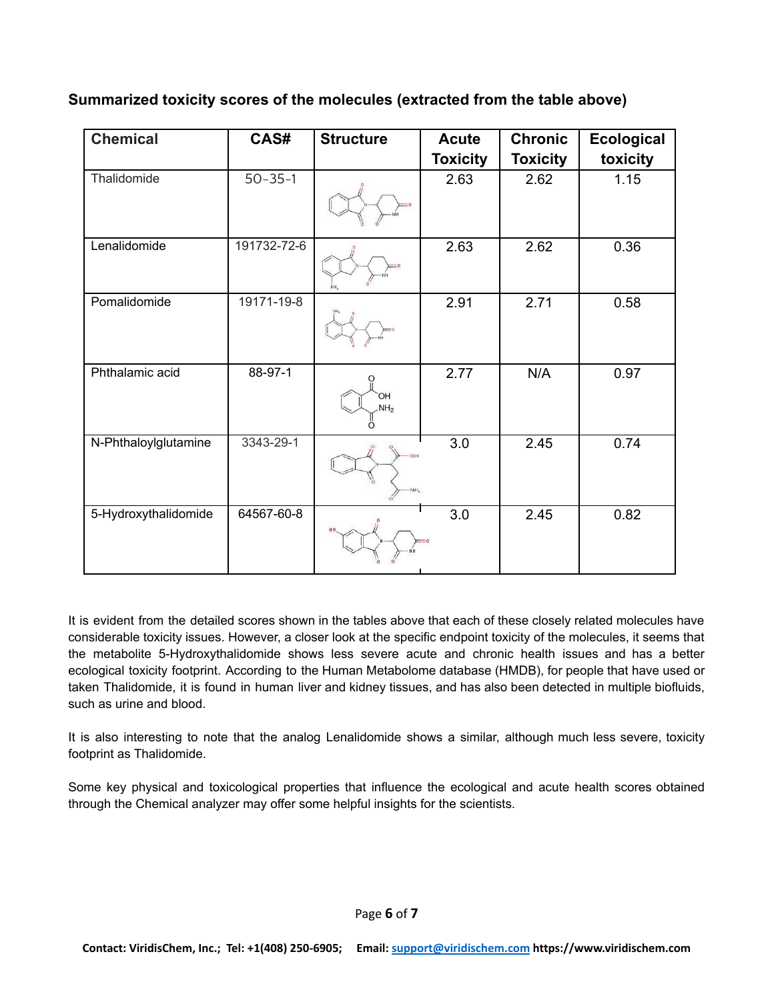### **Summarized toxicity scores of the molecules (extracted from the table above)**

| <b>Chemical</b>      | CAS#          | <b>Structure</b>                   | <b>Acute</b>     | <b>Chronic</b>  | <b>Ecological</b> |
|----------------------|---------------|------------------------------------|------------------|-----------------|-------------------|
|                      |               |                                    | <b>Toxicity</b>  | <b>Toxicity</b> | toxicity          |
| Thalidomide          | $50 - 35 - 1$ |                                    | 2.63             | 2.62            | 1.15              |
| Lenalidomide         | 191732-72-6   |                                    | 2.63             | 2.62            | 0.36              |
| Pomalidomide         | 19171-19-8    |                                    | 2.91             | 2.71            | 0.58              |
| Phthalamic acid      | 88-97-1       | HO <sup>.</sup><br>NH <sub>2</sub> | 2.77             | N/A             | 0.97              |
| N-Phthaloylglutamine | 3343-29-1     |                                    | $\overline{3.0}$ | 2.45            | 0.74              |
| 5-Hydroxythalidomide | 64567-60-8    |                                    | 3.0              | 2.45            | 0.82              |

It is evident from the detailed scores shown in the tables above that each of these closely related molecules have considerable toxicity issues. However, a closer look at the specific endpoint toxicity of the molecules, it seems that the metabolite 5-Hydroxythalidomide shows less severe acute and chronic health issues and has a better ecological toxicity footprint. According to the Human Metabolome database (HMDB), for people that have used or taken Thalidomide, it is found in human liver and kidney tissues, and has also been detected in multiple biofluids, such as urine and blood.

It is also interesting to note that the analog Lenalidomide shows a similar, although much less severe, toxicity footprint as Thalidomide.

Some key physical and toxicological properties that influence the ecological and acute health scores obtained through the Chemical analyzer may offer some helpful insights for the scientists.